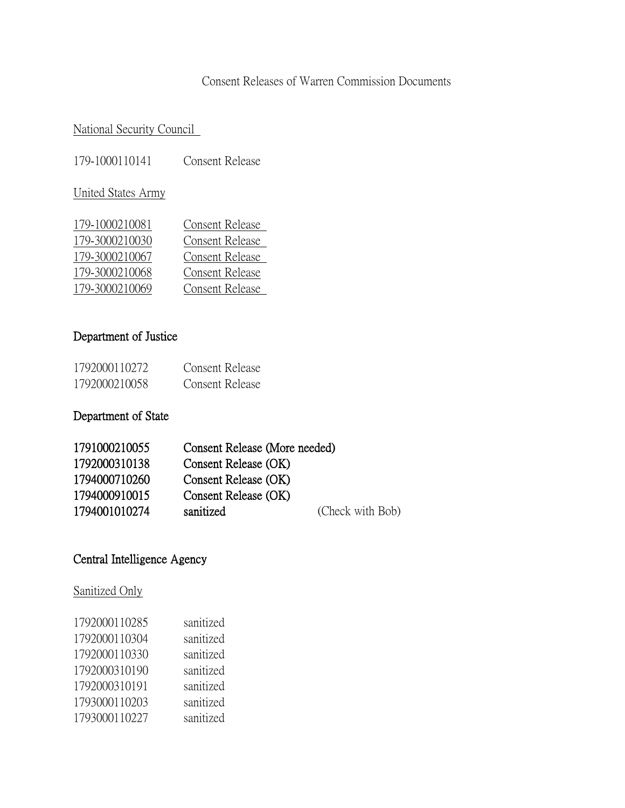## Consent Releases of Warren Commission Documents

### National Security Council

179-1000110141 Consent Release

United States Army

| 179-1000210081 | Consent Release |
|----------------|-----------------|
| 179-3000210030 | Consent Release |
| 179-3000210067 | Consent Release |
| 179-3000210068 | Consent Release |
| 179-3000210069 | Consent Release |

### Department of Justice

| 1792000110272 | Consent Release |
|---------------|-----------------|
| 1792000210058 | Consent Release |

#### Department of State

| 1791000210055 | Consent Release (More needed) |                  |
|---------------|-------------------------------|------------------|
| 1792000310138 | Consent Release (OK)          |                  |
| 1794000710260 | Consent Release (OK)          |                  |
| 1794000910015 | Consent Release (OK)          |                  |
| 1794001010274 | sanitized                     | (Check with Bob) |

# Central Intelligence Agency

# Sanitized Only

| 1792000110285 | sanitized |
|---------------|-----------|
| 1792000110304 | sanitized |
| 1792000110330 | sanitized |
| 1792000310190 | sanitized |
| 1792000310191 | sanitized |
| 1793000110203 | sanitized |
| 1793000110227 | sanitized |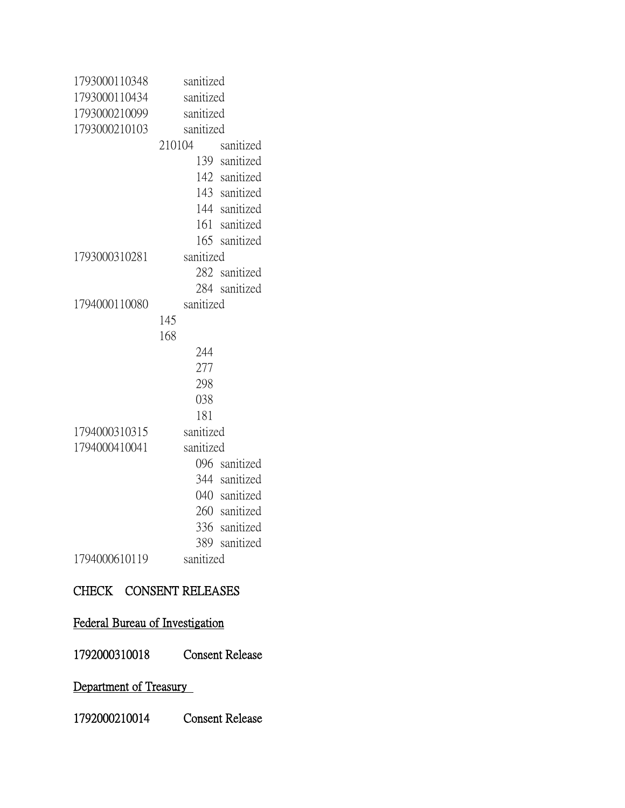| 1793000110348 | sanitized           |
|---------------|---------------------|
| 1793000110434 | sanitized           |
| 1793000210099 | sanitized           |
| 1793000210103 | sanitized           |
|               | 210104<br>sanitized |
|               | 139 sanitized       |
|               | 142 sanitized       |
|               | 143 sanitized       |
|               | 144 sanitized       |
|               | 161 sanitized       |
|               | 165 sanitized       |
| 1793000310281 | sanitized           |
|               | 282 sanitized       |
|               | 284 sanitized       |
| 1794000110080 | sanitized           |
|               | 145                 |
|               | 168                 |
|               | 244                 |
|               | 277                 |
|               | 298                 |
|               | 038                 |
|               | 181                 |
| 1794000310315 | sanitized           |
| 1794000410041 | sanitized           |
|               | 096 sanitized       |
|               | 344 sanitized       |
|               | 040 sanitized       |
|               | 260 sanitized       |
|               | 336<br>sanitized    |
|               | 389<br>sanitized    |
| 1794000610119 | sanitized           |

### CHECK CONSENT RELEASES

### Federal Bureau of Investigation

1792000310018 Consent Release

# Department of Treasury

1792000210014 Consent Release